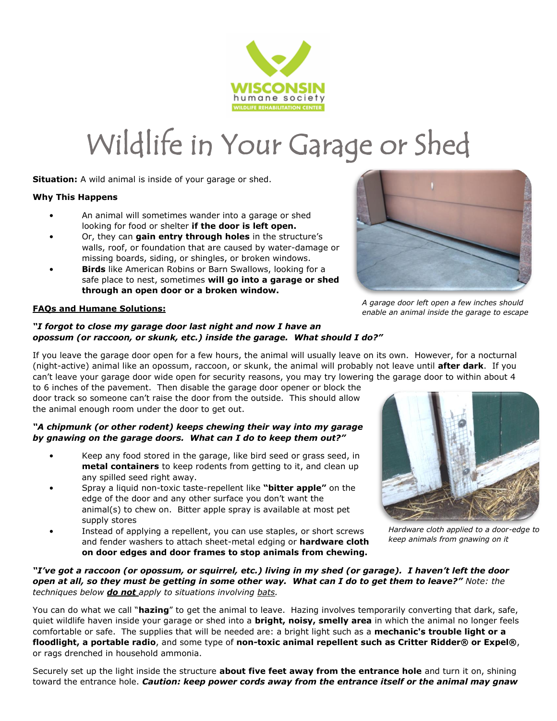

# Wildlife in Your Garage or Shed

**Situation:** A wild animal is inside of your garage or shed.

### **Why This Happens**

- An animal will sometimes wander into a garage or shed looking for food or shelter **if the door is left open.**
- Or, they can **gain entry through holes** in the structure's walls, roof, or foundation that are caused by water-damage or missing boards, siding, or shingles, or broken windows.
- **Birds** like American Robins or Barn Swallows, looking for a safe place to nest, sometimes **will go into a garage or shed through an open door or a broken window.**

## **FAQs and Humane Solutions:**

#### *"I forgot to close my garage door last night and now I have an opossum (or raccoon, or skunk, etc.) inside the garage. What should I do?"*

If you leave the garage door open for a few hours, the animal will usually leave on its own. However, for a nocturnal (night-active) animal like an opossum, raccoon, or skunk, the animal will probably not leave until **after dark**. If you can't leave your garage door wide open for security reasons, you may try lowering the garage door to within about 4

to 6 inches of the pavement. Then disable the garage door opener or block the door track so someone can't raise the door from the outside. This should allow the animal enough room under the door to get out.

### *"A chipmunk (or other rodent) keeps chewing their way into my garage by gnawing on the garage doors. What can I do to keep them out?"*

- Keep any food stored in the garage, like bird seed or grass seed, in **metal containers** to keep rodents from getting to it, and clean up any spilled seed right away.
- Spray a liquid non-toxic taste-repellent like **"bitter apple"** on the edge of the door and any other surface you don't want the animal(s) to chew on. Bitter apple spray is available at most pet supply stores
- Instead of applying a repellent, you can use staples, or short screws and fender washers to attach sheet-metal edging or **hardware cloth on door edges and door frames to stop animals from chewing.**



*Hardware cloth applied to a door-edge to keep animals from gnawing on it*

## *"I've got a raccoon (or opossum, or squirrel, etc.) living in my shed (or garage). I haven't left the door open at all, so they must be getting in some other way. What can I do to get them to leave?" Note: the techniques below do not apply to situations involving bats.*

You can do what we call "**hazing**" to get the animal to leave. Hazing involves temporarily converting that dark, safe, quiet wildlife haven inside your garage or shed into a **bright, noisy, smelly area** in which the animal no longer feels comfortable or safe. The supplies that will be needed are: a bright light such as a **mechanic's trouble light or a floodlight, a portable radio**, and some type of **non-toxic animal repellent such as Critter Ridder® or Expel®**, or rags drenched in household ammonia.

Securely set up the light inside the structure **about five feet away from the entrance hole** and turn it on, shining toward the entrance hole. *Caution: keep power cords away from the entrance itself or the animal may gnaw* 



*A garage door left open a few inches should enable an animal inside the garage to escape*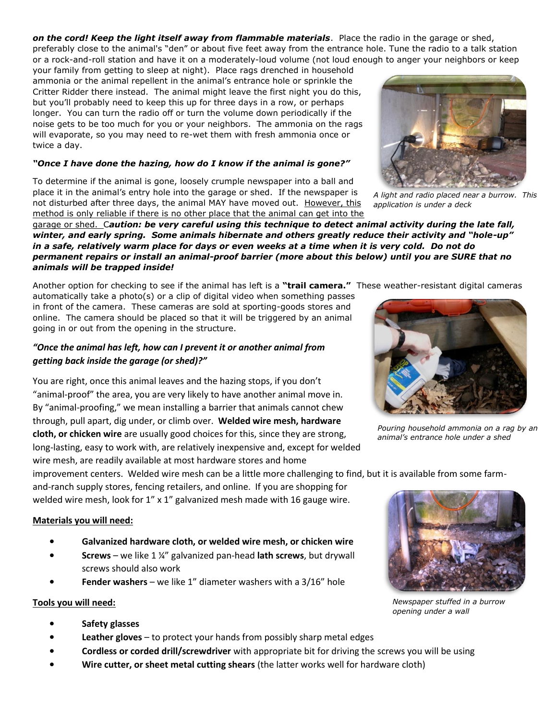*on the cord! Keep the light itself away from flammable materials*. Place the radio in the garage or shed, preferably close to the animal's "den" or about five feet away from the entrance hole. Tune the radio to a talk station or a rock-and-roll station and have it on a moderately-loud volume (not loud enough to anger your neighbors or keep

your family from getting to sleep at night). Place rags drenched in household ammonia or the animal repellent in the animal's entrance hole or sprinkle the Critter Ridder there instead. The animal might leave the first night you do this, but you'll probably need to keep this up for three days in a row, or perhaps longer. You can turn the radio off or turn the volume down periodically if the noise gets to be too much for you or your neighbors. The ammonia on the rags will evaporate, so you may need to re-wet them with fresh ammonia once or twice a day.

## *"Once I have done the hazing, how do I know if the animal is gone?"*

To determine if the animal is gone, loosely crumple newspaper into a ball and place it in the animal's entry hole into the garage or shed. If the newspaper is not disturbed after three days, the animal MAY have moved out. However, this method is only reliable if there is no other place that the animal can get into the

garage or shed. C*aution: be very careful using this technique to detect animal activity during the late fall,*  winter, and early spring. Some animals hibernate and others greatly reduce their activity and "hole-up" *in a safe, relatively warm place for days or even weeks at a time when it is very cold. Do not do permanent repairs or install an animal-proof barrier (more about this below) until you are SURE that no animals will be trapped inside!*

Another option for checking to see if the animal has left is a **"trail camera."** These weather-resistant digital cameras automatically take a photo(s) or a clip of digital video when something passes

in front of the camera. These cameras are sold at sporting-goods stores and online. The camera should be placed so that it will be triggered by an animal going in or out from the opening in the structure.

## *"Once the animal has left, how can I prevent it or another animal from getting back inside the garage (or shed)?"*

You are right, once this animal leaves and the hazing stops, if you don't "animal-proof" the area, you are very likely to have another animal move in. By "animal-proofing," we mean installing a barrier that animals cannot chew through, pull apart, dig under, or climb over. **Welded wire mesh, hardware cloth, or chicken wire** are usually good choices for this, since they are strong, long-lasting, easy to work with, are relatively inexpensive and, except for welded wire mesh, are readily available at most hardware stores and home

improvement centers. Welded wire mesh can be a little more challenging to find, but it is available from some farm-

and-ranch supply stores, fencing retailers, and online. If you are shopping for welded wire mesh, look for 1" x 1" galvanized mesh made with 16 gauge wire.

## **Materials you will need:**

- **Galvanized hardware cloth, or welded wire mesh, or chicken wire**
- **Screws** we like 1 ¼" galvanized pan-head **lath screws**, but drywall screws should also work
- **Fender washers** we like 1" diameter washers with a 3/16" hole

## **Tools you will need:**

- **Safety glasses**
- **Leather gloves** to protect your hands from possibly sharp metal edges
- **Cordless or corded drill/screwdriver** with appropriate bit for driving the screws you will be using
- **Wire cutter, or sheet metal cutting shears** (the latter works well for hardware cloth)

*A light and radio placed near a burrow. This application is under a deck*

*Pouring household ammonia on a rag by an animal's entrance hole under a shed*

*Newspaper stuffed in a burrow opening under a wall*







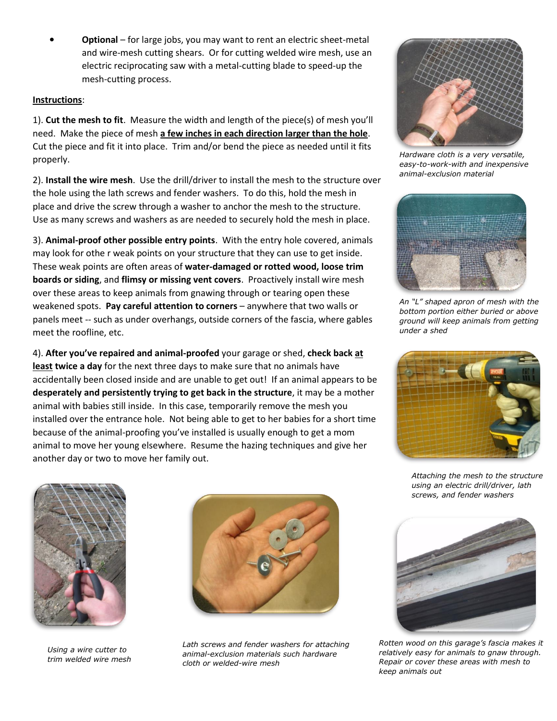• **Optional** – for large jobs, you may want to rent an electric sheet-metal and wire-mesh cutting shears. Or for cutting welded wire mesh, use an electric reciprocating saw with a metal-cutting blade to speed-up the mesh-cutting process.

## **Instructions**:

1). **Cut the mesh to fit**. Measure the width and length of the piece(s) of mesh you'll need. Make the piece of mesh **a few inches in each direction larger than the hole**. Cut the piece and fit it into place. Trim and/or bend the piece as needed until it fits properly.

2). **Install the wire mesh**. Use the drill/driver to install the mesh to the structure over the hole using the lath screws and fender washers. To do this, hold the mesh in place and drive the screw through a washer to anchor the mesh to the structure. Use as many screws and washers as are needed to securely hold the mesh in place.

3). **Animal-proof other possible entry points**. With the entry hole covered, animals may look for othe r weak points on your structure that they can use to get inside. These weak points are often areas of **water-damaged or rotted wood, loose trim boards or siding**, and **flimsy or missing vent covers**. Proactively install wire mesh over these areas to keep animals from gnawing through or tearing open these weakened spots. **Pay careful attention to corners** – anywhere that two walls or panels meet -- such as under overhangs, outside corners of the fascia, where gables meet the roofline, etc.

4). **After you've repaired and animal-proofed** your garage or shed, **check back at least twice a day** for the next three days to make sure that no animals have accidentally been closed inside and are unable to get out! If an animal appears to be **desperately and persistently trying to get back in the structure**, it may be a mother animal with babies still inside. In this case, temporarily remove the mesh you installed over the entrance hole. Not being able to get to her babies for a short time because of the animal-proofing you've installed is usually enough to get a mom animal to move her young elsewhere. Resume the hazing techniques and give her another day or two to move her family out.



*Hardware cloth is a very versatile, easy-to-work-with and inexpensive animal-exclusion material*



*An "L" shaped apron of mesh with the bottom portion either buried or above ground will keep animals from getting under a shed*



*Attaching the mesh to the structure using an electric drill/driver, lath screws, and fender washers*



*Using a wire cutter to trim welded wire mesh*



*Lath screws and fender washers for attaching animal-exclusion materials such hardware cloth or welded-wire mesh*



*Rotten wood on this garage's fascia makes it relatively easy for animals to gnaw through. Repair or cover these areas with mesh to keep animals out*